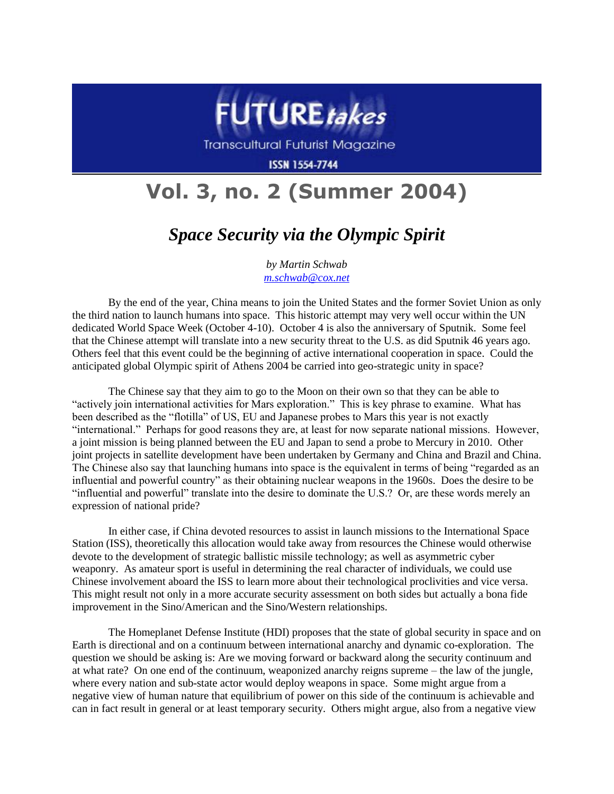

Transcultural Futurist Magazine

**ISSN 1554-7744** 

## **Vol. 3, no. 2 (Summer 2004)**

## *Space Security via the Olympic Spirit*

*by Martin Schwab [m.schwab@cox.net](mailto:m.schwab@cox.net)*

By the end of the year, China means to join the United States and the former Soviet Union as only the third nation to launch humans into space. This historic attempt may very well occur within the UN dedicated World Space Week (October 4-10). October 4 is also the anniversary of Sputnik. Some feel that the Chinese attempt will translate into a new security threat to the U.S. as did Sputnik 46 years ago. Others feel that this event could be the beginning of active international cooperation in space. Could the anticipated global Olympic spirit of Athens 2004 be carried into geo-strategic unity in space?

The Chinese say that they aim to go to the Moon on their own so that they can be able to "actively join international activities for Mars exploration." This is key phrase to examine. What has been described as the "flotilla" of US, EU and Japanese probes to Mars this year is not exactly "international." Perhaps for good reasons they are, at least for now separate national missions. However, a joint mission is being planned between the EU and Japan to send a probe to Mercury in 2010. Other joint projects in satellite development have been undertaken by Germany and China and Brazil and China. The Chinese also say that launching humans into space is the equivalent in terms of being "regarded as an influential and powerful country" as their obtaining nuclear weapons in the 1960s. Does the desire to be "influential and powerful" translate into the desire to dominate the U.S.? Or, are these words merely an expression of national pride?

In either case, if China devoted resources to assist in launch missions to the International Space Station (ISS), theoretically this allocation would take away from resources the Chinese would otherwise devote to the development of strategic ballistic missile technology; as well as asymmetric cyber weaponry. As amateur sport is useful in determining the real character of individuals, we could use Chinese involvement aboard the ISS to learn more about their technological proclivities and vice versa. This might result not only in a more accurate security assessment on both sides but actually a bona fide improvement in the Sino/American and the Sino/Western relationships.

The Homeplanet Defense Institute (HDI) proposes that the state of global security in space and on Earth is directional and on a continuum between international anarchy and dynamic co-exploration. The question we should be asking is: Are we moving forward or backward along the security continuum and at what rate? On one end of the continuum, weaponized anarchy reigns supreme – the law of the jungle, where every nation and sub-state actor would deploy weapons in space. Some might argue from a negative view of human nature that equilibrium of power on this side of the continuum is achievable and can in fact result in general or at least temporary security. Others might argue, also from a negative view